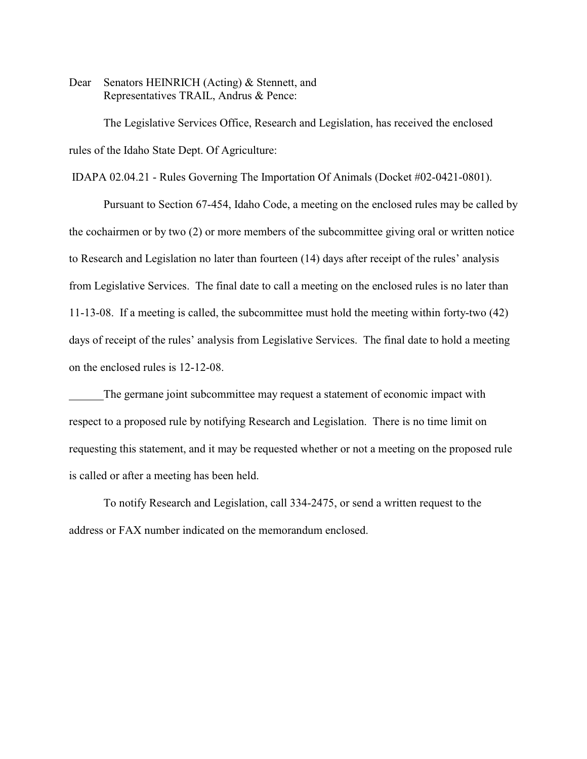Dear Senators HEINRICH (Acting) & Stennett, and Representatives TRAIL, Andrus & Pence:

The Legislative Services Office, Research and Legislation, has received the enclosed rules of the Idaho State Dept. Of Agriculture:

IDAPA 02.04.21 - Rules Governing The Importation Of Animals (Docket #02-0421-0801).

Pursuant to Section 67-454, Idaho Code, a meeting on the enclosed rules may be called by the cochairmen or by two (2) or more members of the subcommittee giving oral or written notice to Research and Legislation no later than fourteen (14) days after receipt of the rules' analysis from Legislative Services. The final date to call a meeting on the enclosed rules is no later than 11-13-08. If a meeting is called, the subcommittee must hold the meeting within forty-two (42) days of receipt of the rules' analysis from Legislative Services. The final date to hold a meeting on the enclosed rules is 12-12-08.

The germane joint subcommittee may request a statement of economic impact with respect to a proposed rule by notifying Research and Legislation. There is no time limit on requesting this statement, and it may be requested whether or not a meeting on the proposed rule is called or after a meeting has been held.

To notify Research and Legislation, call 334-2475, or send a written request to the address or FAX number indicated on the memorandum enclosed.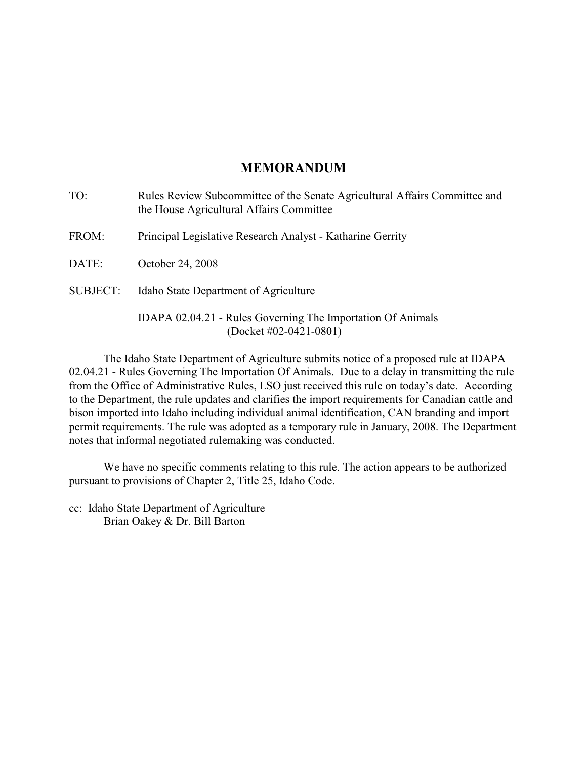## **MEMORANDUM**

| TO:             | Rules Review Subcommittee of the Senate Agricultural Affairs Committee and<br>the House Agricultural Affairs Committee |
|-----------------|------------------------------------------------------------------------------------------------------------------------|
| FROM:           | Principal Legislative Research Analyst - Katharine Gerrity                                                             |
| DATE:           | October 24, 2008                                                                                                       |
| <b>SUBJECT:</b> | Idaho State Department of Agriculture                                                                                  |
|                 | IDAPA 02.04.21 - Rules Governing The Importation Of Animals<br>(Docket #02-0421-0801)                                  |

The Idaho State Department of Agriculture submits notice of a proposed rule at IDAPA 02.04.21 - Rules Governing The Importation Of Animals. Due to a delay in transmitting the rule from the Office of Administrative Rules, LSO just received this rule on today's date. According to the Department, the rule updates and clarifies the import requirements for Canadian cattle and bison imported into Idaho including individual animal identification, CAN branding and import permit requirements. The rule was adopted as a temporary rule in January, 2008. The Department notes that informal negotiated rulemaking was conducted.

We have no specific comments relating to this rule. The action appears to be authorized pursuant to provisions of Chapter 2, Title 25, Idaho Code.

cc: Idaho State Department of Agriculture Brian Oakey & Dr. Bill Barton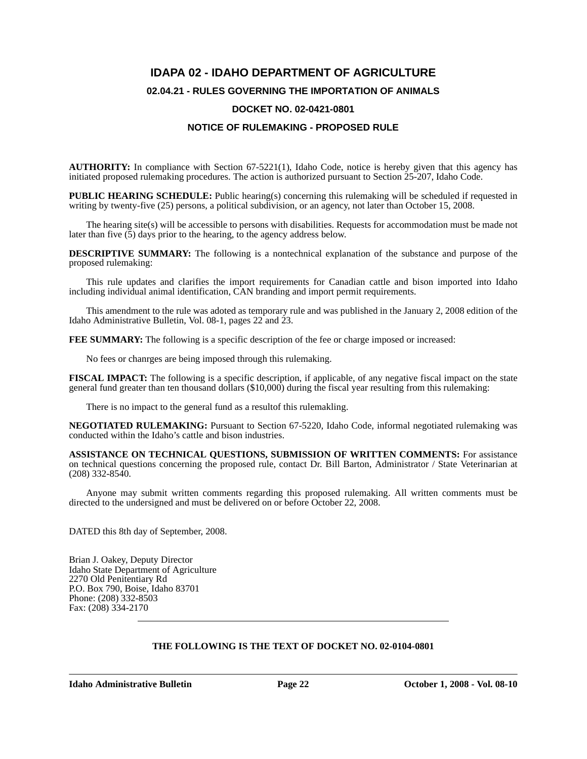# **IDAPA 02 - IDAHO DEPARTMENT OF AGRICULTURE**

## **02.04.21 - RULES GOVERNING THE IMPORTATION OF ANIMALS**

#### **DOCKET NO. 02-0421-0801**

## **NOTICE OF RULEMAKING - PROPOSED RULE**

**AUTHORITY:** In compliance with Section 67-5221(1), Idaho Code, notice is hereby given that this agency has initiated proposed rulemaking procedures. The action is authorized pursuant to Section 25-207, Idaho Code.

**PUBLIC HEARING SCHEDULE:** Public hearing(s) concerning this rulemaking will be scheduled if requested in writing by twenty-five (25) persons, a political subdivision, or an agency, not later than October 15, 2008.

The hearing site(s) will be accessible to persons with disabilities. Requests for accommodation must be made not later than five  $(5)$  days prior to the hearing, to the agency address below.

**DESCRIPTIVE SUMMARY:** The following is a nontechnical explanation of the substance and purpose of the proposed rulemaking:

This rule updates and clarifies the import requirements for Canadian cattle and bison imported into Idaho including individual animal identification, CAN branding and import permit requirements.

This amendment to the rule was adoted as temporary rule and was published in the January 2, 2008 edition of the Idaho Administrative Bulletin, Vol. 08-1, pages 22 and 23.

**FEE SUMMARY:** The following is a specific description of the fee or charge imposed or increased:

No fees or chanrges are being imposed through this rulemaking.

**FISCAL IMPACT:** The following is a specific description, if applicable, of any negative fiscal impact on the state general fund greater than ten thousand dollars (\$10,000) during the fiscal year resulting from this rulemaking:

There is no impact to the general fund as a resultof this rulemakling.

**NEGOTIATED RULEMAKING:** Pursuant to Section 67-5220, Idaho Code, informal negotiated rulemaking was conducted within the Idaho's cattle and bison industries.

**ASSISTANCE ON TECHNICAL QUESTIONS, SUBMISSION OF WRITTEN COMMENTS:** For assistance on technical questions concerning the proposed rule, contact Dr. Bill Barton, Administrator / State Veterinarian at (208) 332-8540.

Anyone may submit written comments regarding this proposed rulemaking. All written comments must be directed to the undersigned and must be delivered on or before October 22, 2008.

DATED this 8th day of September, 2008.

Brian J. Oakey, Deputy Director Idaho State Department of Agriculture 2270 Old Penitentiary Rd P.O. Box 790, Boise, Idaho 83701 Phone: (208) 332-8503 Fax: (208) 334-2170

#### **THE FOLLOWING IS THE TEXT OF DOCKET NO. 02-0104-0801**

**Idaho Administrative Bulletin Page 22 October 1, 2008 - Vol. 08-10**